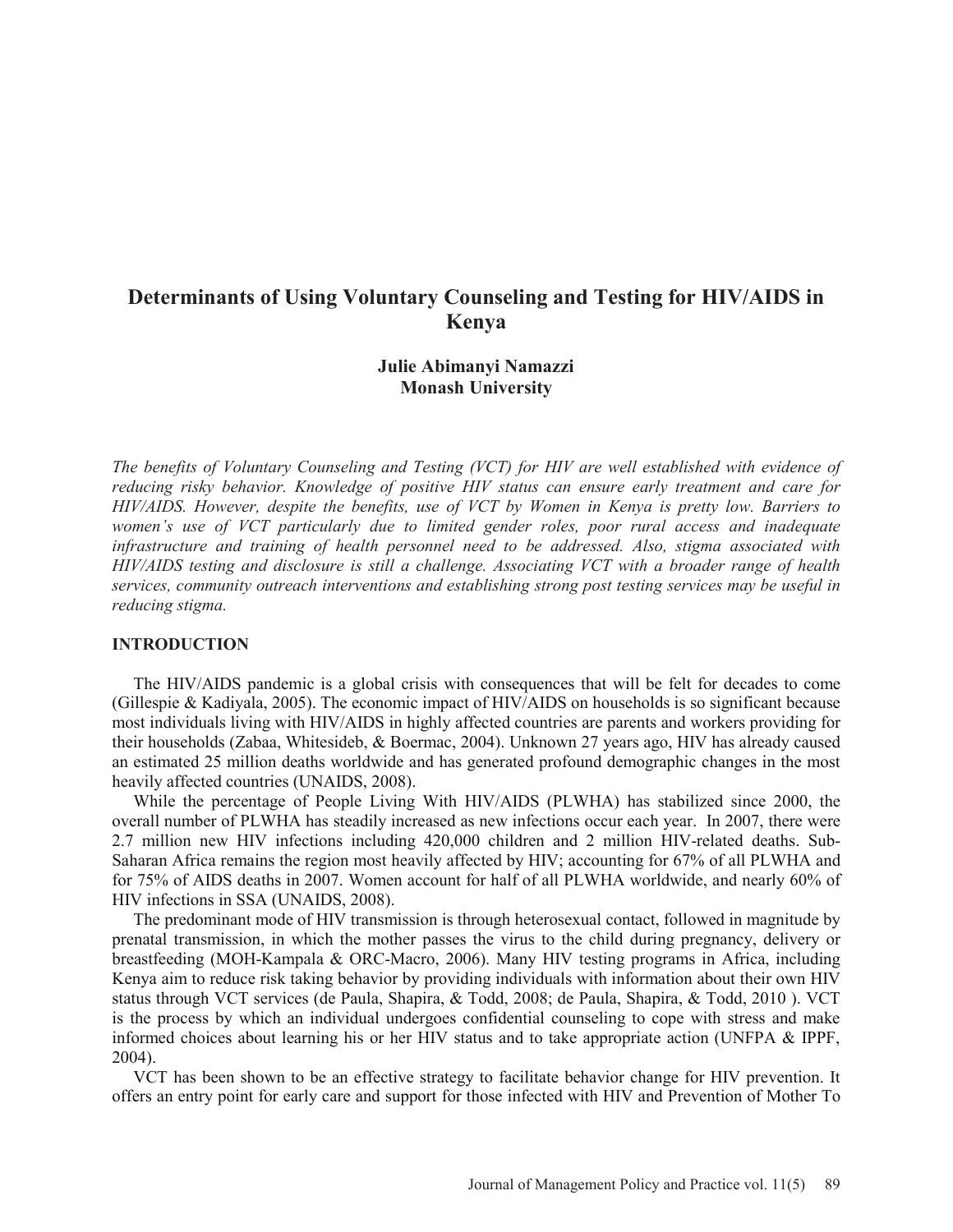# **Determinants of Using Voluntary Counseling and Testing for HIV/AIDS in Kenya**

# **Julie Abimanyi Namazzi Monash University**

*The benefits of Voluntary Counseling and Testing (VCT) for HIV are well established with evidence of reducing risky behavior. Knowledge of positive HIV status can ensure early treatment and care for HIV/AIDS. However, despite the benefits, use of VCT by Women in Kenya is pretty low. Barriers to women's use of VCT particularly due to limited gender roles, poor rural access and inadequate infrastructure and training of health personnel need to be addressed. Also, stigma associated with HIV/AIDS testing and disclosure is still a challenge. Associating VCT with a broader range of health services, community outreach interventions and establishing strong post testing services may be useful in reducing stigma.* 

### **INTRODUCTION**

 The HIV/AIDS pandemic is a global crisis with consequences that will be felt for decades to come (Gillespie & Kadiyala, 2005). The economic impact of HIV/AIDS on households is so significant because most individuals living with HIV/AIDS in highly affected countries are parents and workers providing for their households (Zabaa, Whitesideb, & Boermac, 2004). Unknown 27 years ago, HIV has already caused an estimated 25 million deaths worldwide and has generated profound demographic changes in the most heavily affected countries (UNAIDS, 2008).

 While the percentage of People Living With HIV/AIDS (PLWHA) has stabilized since 2000, the overall number of PLWHA has steadily increased as new infections occur each year. In 2007, there were 2.7 million new HIV infections including 420,000 children and 2 million HIV-related deaths. Sub-Saharan Africa remains the region most heavily affected by HIV; accounting for 67% of all PLWHA and for 75% of AIDS deaths in 2007. Women account for half of all PLWHA worldwide, and nearly 60% of HIV infections in SSA (UNAIDS, 2008).

 The predominant mode of HIV transmission is through heterosexual contact, followed in magnitude by prenatal transmission, in which the mother passes the virus to the child during pregnancy, delivery or breastfeeding (MOH-Kampala & ORC-Macro, 2006). Many HIV testing programs in Africa, including Kenya aim to reduce risk taking behavior by providing individuals with information about their own HIV status through VCT services (de Paula, Shapira, & Todd, 2008; de Paula, Shapira, & Todd, 2010 ). VCT is the process by which an individual undergoes confidential counseling to cope with stress and make informed choices about learning his or her HIV status and to take appropriate action (UNFPA & IPPF, 2004).

 VCT has been shown to be an effective strategy to facilitate behavior change for HIV prevention. It offers an entry point for early care and support for those infected with HIV and Prevention of Mother To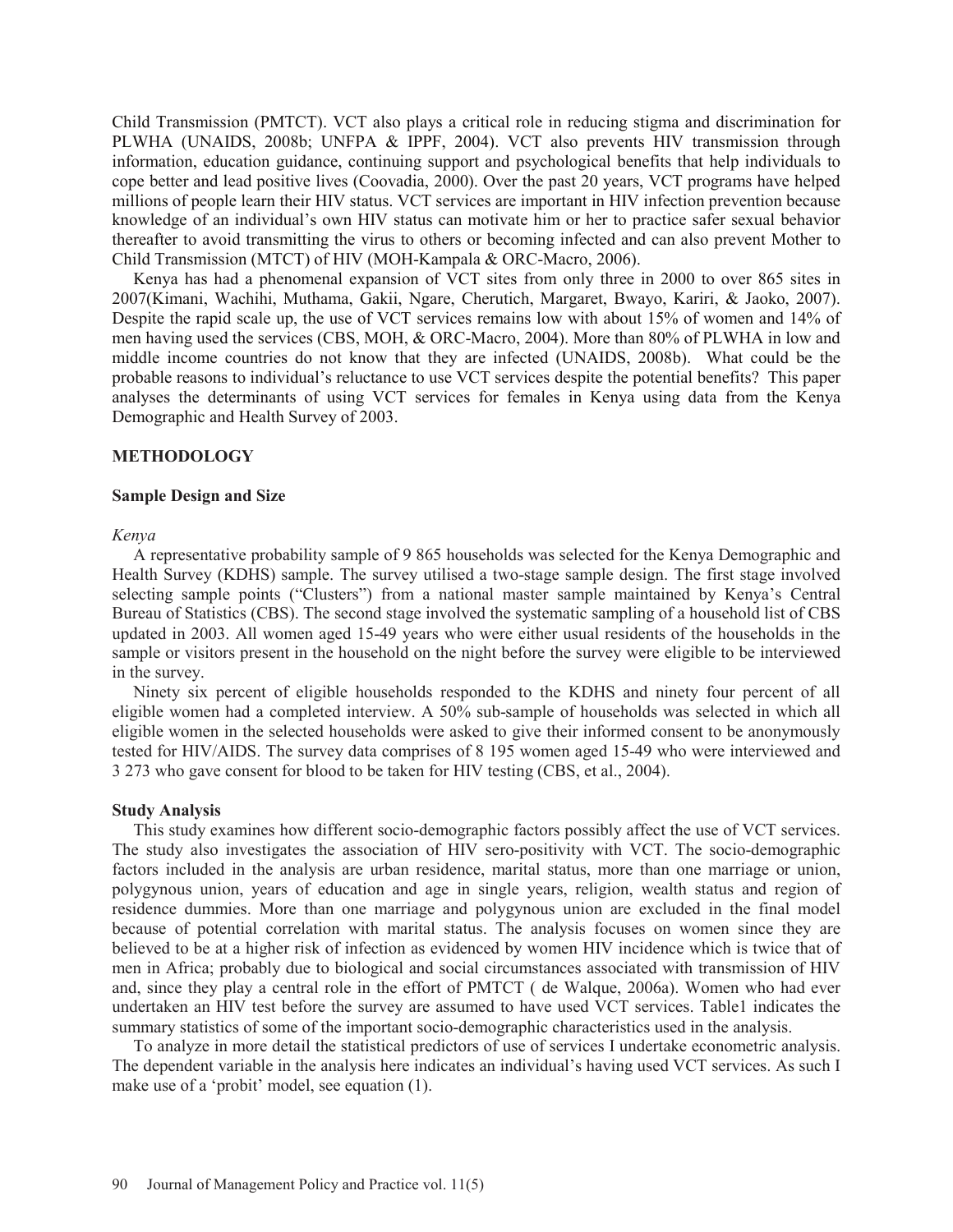Child Transmission (PMTCT). VCT also plays a critical role in reducing stigma and discrimination for PLWHA (UNAIDS, 2008b; UNFPA & IPPF, 2004). VCT also prevents HIV transmission through information, education guidance, continuing support and psychological benefits that help individuals to cope better and lead positive lives (Coovadia, 2000). Over the past 20 years, VCT programs have helped millions of people learn their HIV status. VCT services are important in HIV infection prevention because knowledge of an individual's own HIV status can motivate him or her to practice safer sexual behavior thereafter to avoid transmitting the virus to others or becoming infected and can also prevent Mother to Child Transmission (MTCT) of HIV (MOH-Kampala & ORC-Macro, 2006).

 Kenya has had a phenomenal expansion of VCT sites from only three in 2000 to over 865 sites in 2007(Kimani, Wachihi, Muthama, Gakii, Ngare, Cherutich, Margaret, Bwayo, Kariri, & Jaoko, 2007). Despite the rapid scale up, the use of VCT services remains low with about 15% of women and 14% of men having used the services (CBS, MOH, & ORC-Macro, 2004). More than 80% of PLWHA in low and middle income countries do not know that they are infected (UNAIDS, 2008b). What could be the probable reasons to individual's reluctance to use VCT services despite the potential benefits? This paper analyses the determinants of using VCT services for females in Kenya using data from the Kenya Demographic and Health Survey of 2003.

### **METHODOLOGY**

### **Sample Design and Size**

### *Kenya*

 A representative probability sample of 9 865 households was selected for the Kenya Demographic and Health Survey (KDHS) sample. The survey utilised a two-stage sample design. The first stage involved selecting sample points ("Clusters") from a national master sample maintained by Kenya's Central Bureau of Statistics (CBS). The second stage involved the systematic sampling of a household list of CBS updated in 2003. All women aged 15-49 years who were either usual residents of the households in the sample or visitors present in the household on the night before the survey were eligible to be interviewed in the survey.

 Ninety six percent of eligible households responded to the KDHS and ninety four percent of all eligible women had a completed interview. A 50% sub-sample of households was selected in which all eligible women in the selected households were asked to give their informed consent to be anonymously tested for HIV/AIDS. The survey data comprises of 8 195 women aged 15-49 who were interviewed and 3 273 who gave consent for blood to be taken for HIV testing (CBS, et al., 2004).

### **Study Analysis**

 This study examines how different socio-demographic factors possibly affect the use of VCT services. The study also investigates the association of HIV sero-positivity with VCT. The socio-demographic factors included in the analysis are urban residence, marital status, more than one marriage or union, polygynous union, years of education and age in single years, religion, wealth status and region of residence dummies. More than one marriage and polygynous union are excluded in the final model because of potential correlation with marital status. The analysis focuses on women since they are believed to be at a higher risk of infection as evidenced by women HIV incidence which is twice that of men in Africa; probably due to biological and social circumstances associated with transmission of HIV and, since they play a central role in the effort of PMTCT ( de Walque, 2006a). Women who had ever undertaken an HIV test before the survey are assumed to have used VCT services. Table1 indicates the summary statistics of some of the important socio-demographic characteristics used in the analysis.

 To analyze in more detail the statistical predictors of use of services I undertake econometric analysis. The dependent variable in the analysis here indicates an individual's having used VCT services. As such I make use of a 'probit' model, see equation (1).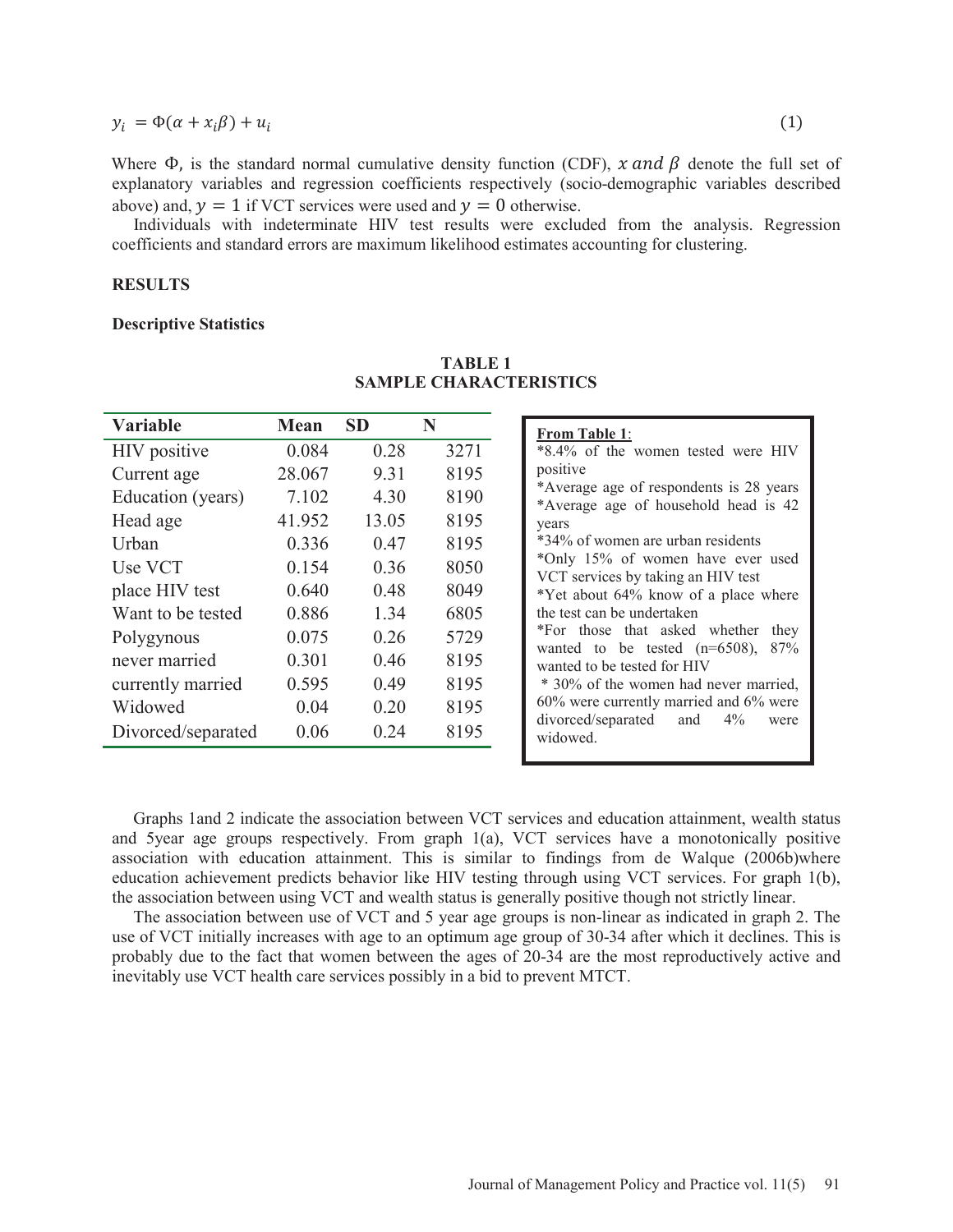$y_i = \Phi(\alpha + x_i \beta) + u_i$  (1)

Where  $\Phi$ , is the standard normal cumulative density function (CDF), x and  $\beta$  denote the full set of explanatory variables and regression coefficients respectively (socio-demographic variables described above) and,  $y = 1$  if VCT services were used and  $y = 0$  otherwise.

 Individuals with indeterminate HIV test results were excluded from the analysis. Regression coefficients and standard errors are maximum likelihood estimates accounting for clustering.

### **RESULTS**

#### **Descriptive Statistics**

| Variable           | <b>Mean</b> | <b>SD</b> | N    |
|--------------------|-------------|-----------|------|
| HIV positive       | 0.084       | 0.28      | 3271 |
| Current age        | 28.067      | 9.31      | 8195 |
| Education (years)  | 7.102       | 4.30      | 8190 |
| Head age           | 41.952      | 13.05     | 8195 |
| Urban              | 0.336       | 0.47      | 8195 |
| Use VCT            | 0.154       | 0.36      | 8050 |
| place HIV test     | 0.640       | 0.48      | 8049 |
| Want to be tested  | 0.886       | 1.34      | 6805 |
| Polygynous         | 0.075       | 0.26      | 5729 |
| never married      | 0.301       | 0.46      | 8195 |
| currently married  | 0.595       | 0.49      | 8195 |
| Widowed            | 0.04        | 0.20      | 8195 |
| Divorced/separated | 0.06        | 0.24      | 8195 |

# **TABLE 1 SAMPLE CHARACTERISTICS**

| <b>From Table 1:</b>                    |  |  |  |  |  |
|-----------------------------------------|--|--|--|--|--|
| *8.4% of the women tested were HIV      |  |  |  |  |  |
| positive                                |  |  |  |  |  |
| *Average age of respondents is 28 years |  |  |  |  |  |
| *Average age of household head is 42    |  |  |  |  |  |
| years                                   |  |  |  |  |  |
| *34% of women are urban residents       |  |  |  |  |  |
| *Only 15% of women have ever used       |  |  |  |  |  |
| VCT services by taking an HIV test      |  |  |  |  |  |
| *Yet about 64% know of a place where    |  |  |  |  |  |
| the test can be undertaken              |  |  |  |  |  |
| *For those that asked whether they      |  |  |  |  |  |
| wanted to be tested $(n=6508)$ , 87%    |  |  |  |  |  |
| wanted to be tested for HIV             |  |  |  |  |  |
| * 30% of the women had never married,   |  |  |  |  |  |
| 60% were currently married and 6% were  |  |  |  |  |  |
| divorced/separated and 4%<br>were       |  |  |  |  |  |
| widowed.                                |  |  |  |  |  |

 Graphs 1and 2 indicate the association between VCT services and education attainment, wealth status and 5year age groups respectively. From graph 1(a), VCT services have a monotonically positive association with education attainment. This is similar to findings from de Walque (2006b)where education achievement predicts behavior like HIV testing through using VCT services. For graph 1(b), the association between using VCT and wealth status is generally positive though not strictly linear.

 The association between use of VCT and 5 year age groups is non-linear as indicated in graph 2. The use of VCT initially increases with age to an optimum age group of 30-34 after which it declines. This is probably due to the fact that women between the ages of 20-34 are the most reproductively active and inevitably use VCT health care services possibly in a bid to prevent MTCT.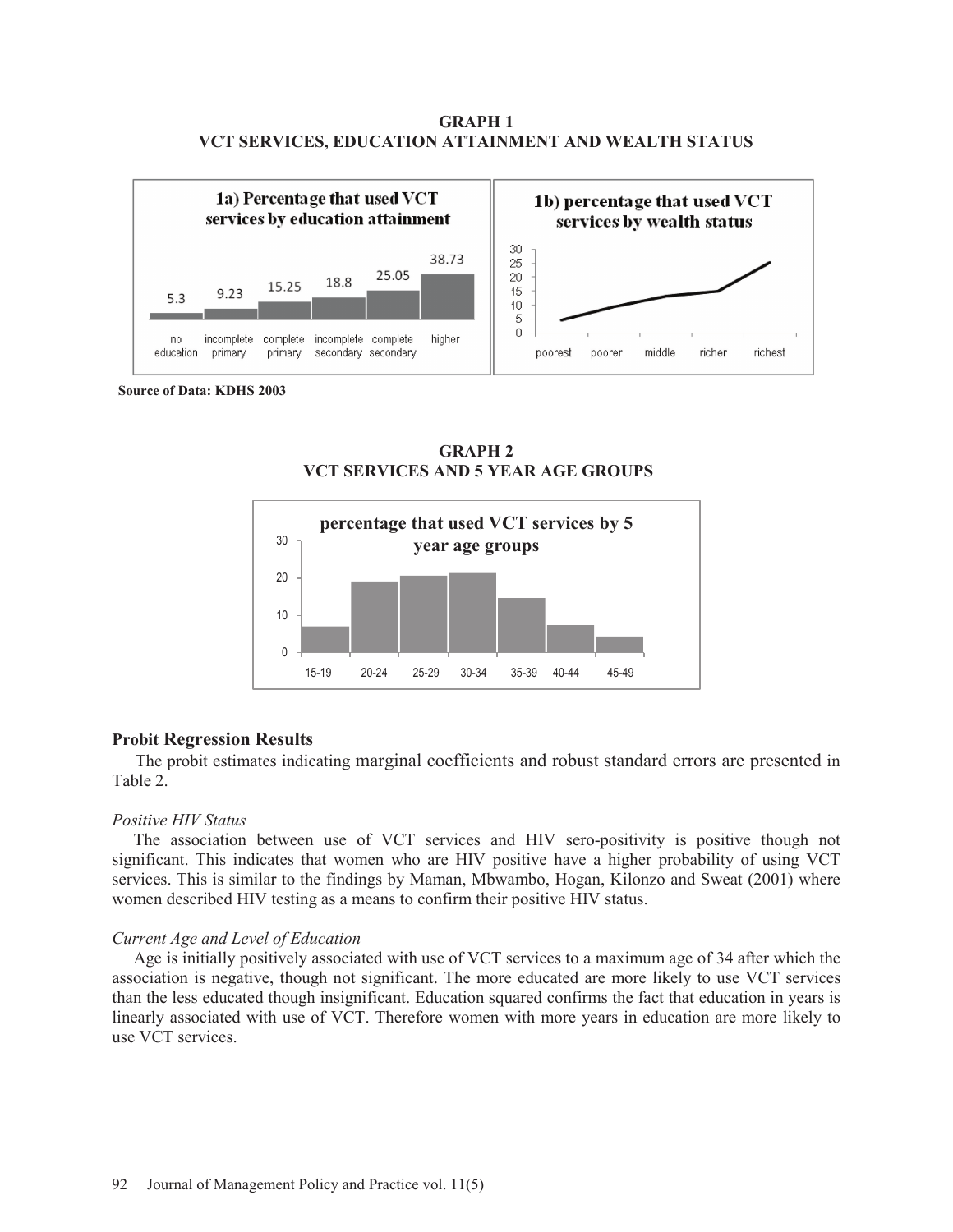### **GRAPH 1 VCT SERVICES, EDUCATION ATTAINMENT AND WEALTH STATUS**



**Source of Data: KDHS 2003** 





### **Probit Regression Results**

 The probit estimates indicating marginal coefficients and robust standard errors are presented in Table 2.

### *Positive HIV Status*

 The association between use of VCT services and HIV sero-positivity is positive though not significant. This indicates that women who are HIV positive have a higher probability of using VCT services. This is similar to the findings by Maman, Mbwambo, Hogan, Kilonzo and Sweat (2001) where women described HIV testing as a means to confirm their positive HIV status.

### *Current Age and Level of Education*

 Age is initially positively associated with use of VCT services to a maximum age of 34 after which the association is negative, though not significant. The more educated are more likely to use VCT services than the less educated though insignificant. Education squared confirms the fact that education in years is linearly associated with use of VCT. Therefore women with more years in education are more likely to use VCT services.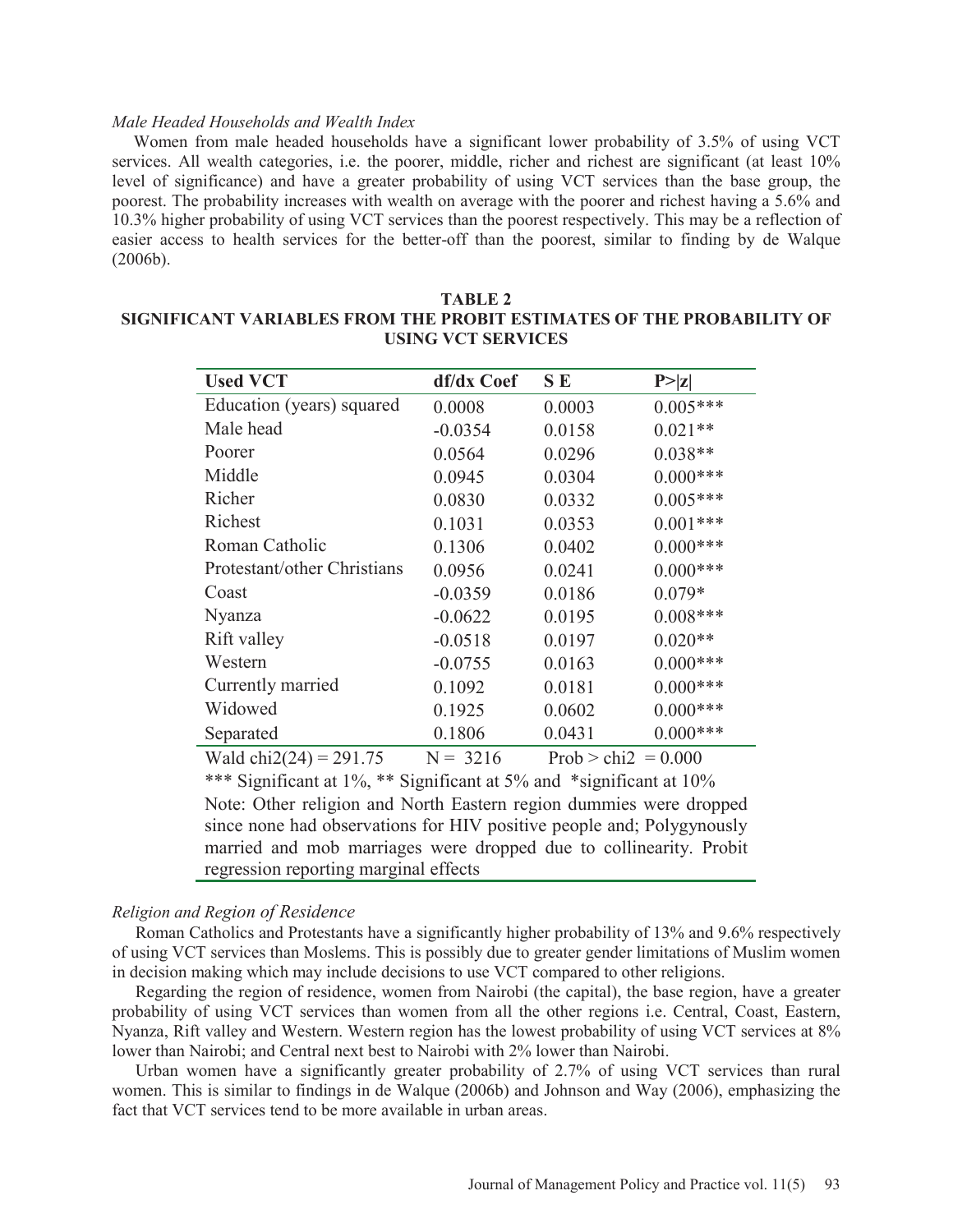### *Male Headed Households and Wealth Index*

 Women from male headed households have a significant lower probability of 3.5% of using VCT services. All wealth categories, i.e. the poorer, middle, richer and richest are significant (at least  $10\%$ ) level of significance) and have a greater probability of using VCT services than the base group, the poorest. The probability increases with wealth on average with the poorer and richest having a 5.6% and 10.3% higher probability of using VCT services than the poorest respectively. This may be a reflection of easier access to health services for the better-off than the poorest, similar to finding by de Walque (2006b).

| <b>Used VCT</b>             | df/dx Coef | SE                    | P >  z     |
|-----------------------------|------------|-----------------------|------------|
| Education (years) squared   | 0.0008     | 0.0003                | $0.005***$ |
| Male head                   | $-0.0354$  | 0.0158                | $0.021**$  |
| Poorer                      | 0.0564     | 0.0296                | $0.038**$  |
| Middle                      | 0.0945     | 0.0304                | $0.000***$ |
| Richer                      | 0.0830     | 0.0332                | $0.005***$ |
| Richest                     | 0.1031     | 0.0353                | $0.001***$ |
| Roman Catholic              | 0.1306     | 0.0402                | $0.000***$ |
| Protestant/other Christians | 0.0956     | 0.0241                | $0.000***$ |
| Coast                       | $-0.0359$  | 0.0186                | $0.079*$   |
| Nyanza                      | $-0.0622$  | 0.0195                | $0.008***$ |
| Rift valley                 | $-0.0518$  | 0.0197                | $0.020**$  |
| Western                     | $-0.0755$  | 0.0163                | $0.000***$ |
| Currently married           | 0.1092     | 0.0181                | $0.000***$ |
| Widowed                     | 0.1925     | 0.0602                | $0.000***$ |
| Separated                   | 0.1806     | 0.0431                | $0.000***$ |
| Wald chi $2(24) = 291.75$   | $N = 3216$ | Prob > chi2 = $0.000$ |            |

## **TABLE 2 SIGNIFICANT VARIABLES FROM THE PROBIT ESTIMATES OF THE PROBABILITY OF USING VCT SERVICES**

\*\*\* Significant at 1%, \*\* Significant at 5% and \*significant at 10% Note: Other religion and North Eastern region dummies were dropped since none had observations for HIV positive people and; Polygynously married and mob marriages were dropped due to collinearity. Probit regression reporting marginal effects

### *Religion and Region of Residence*

 Roman Catholics and Protestants have a significantly higher probability of 13% and 9.6% respectively of using VCT services than Moslems. This is possibly due to greater gender limitations of Muslim women in decision making which may include decisions to use VCT compared to other religions.

 Regarding the region of residence, women from Nairobi (the capital), the base region, have a greater probability of using VCT services than women from all the other regions i.e. Central, Coast, Eastern, Nyanza, Rift valley and Western. Western region has the lowest probability of using VCT services at 8% lower than Nairobi; and Central next best to Nairobi with 2% lower than Nairobi.

 Urban women have a significantly greater probability of 2.7% of using VCT services than rural women. This is similar to findings in de Walque (2006b) and Johnson and Way (2006), emphasizing the fact that VCT services tend to be more available in urban areas.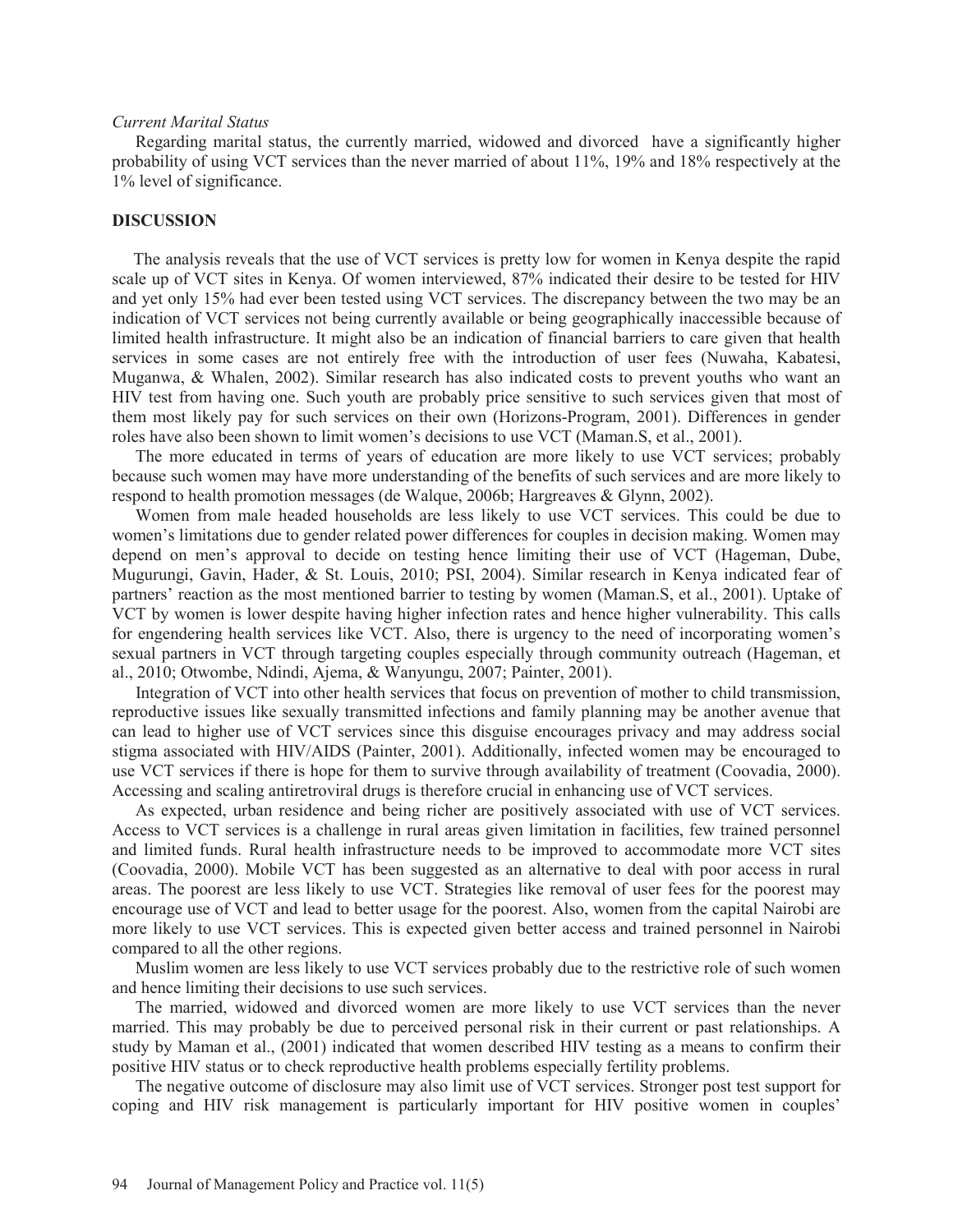#### *Current Marital Status*

 Regarding marital status, the currently married, widowed and divorced have a significantly higher probability of using VCT services than the never married of about 11%, 19% and 18% respectively at the 1% level of significance.

### **DISCUSSION**

 The analysis reveals that the use of VCT services is pretty low for women in Kenya despite the rapid scale up of VCT sites in Kenya. Of women interviewed, 87% indicated their desire to be tested for HIV and yet only 15% had ever been tested using VCT services. The discrepancy between the two may be an indication of VCT services not being currently available or being geographically inaccessible because of limited health infrastructure. It might also be an indication of financial barriers to care given that health services in some cases are not entirely free with the introduction of user fees (Nuwaha, Kabatesi, Muganwa, & Whalen, 2002). Similar research has also indicated costs to prevent youths who want an HIV test from having one. Such youth are probably price sensitive to such services given that most of them most likely pay for such services on their own (Horizons-Program, 2001). Differences in gender roles have also been shown to limit women's decisions to use VCT (Maman.S, et al., 2001).

 The more educated in terms of years of education are more likely to use VCT services; probably because such women may have more understanding of the benefits of such services and are more likely to respond to health promotion messages (de Walque, 2006b; Hargreaves & Glynn, 2002).

 Women from male headed households are less likely to use VCT services. This could be due to women's limitations due to gender related power differences for couples in decision making. Women may depend on men's approval to decide on testing hence limiting their use of VCT (Hageman, Dube, Mugurungi, Gavin, Hader, & St. Louis, 2010; PSI, 2004). Similar research in Kenya indicated fear of partners' reaction as the most mentioned barrier to testing by women (Maman.S, et al., 2001). Uptake of VCT by women is lower despite having higher infection rates and hence higher vulnerability. This calls for engendering health services like VCT. Also, there is urgency to the need of incorporating women's sexual partners in VCT through targeting couples especially through community outreach (Hageman, et al., 2010; Otwombe, Ndindi, Ajema, & Wanyungu, 2007; Painter, 2001).

 Integration of VCT into other health services that focus on prevention of mother to child transmission, reproductive issues like sexually transmitted infections and family planning may be another avenue that can lead to higher use of VCT services since this disguise encourages privacy and may address social stigma associated with HIV/AIDS (Painter, 2001). Additionally, infected women may be encouraged to use VCT services if there is hope for them to survive through availability of treatment (Coovadia, 2000). Accessing and scaling antiretroviral drugs is therefore crucial in enhancing use of VCT services.

 As expected, urban residence and being richer are positively associated with use of VCT services. Access to VCT services is a challenge in rural areas given limitation in facilities, few trained personnel and limited funds. Rural health infrastructure needs to be improved to accommodate more VCT sites (Coovadia, 2000). Mobile VCT has been suggested as an alternative to deal with poor access in rural areas. The poorest are less likely to use VCT. Strategies like removal of user fees for the poorest may encourage use of VCT and lead to better usage for the poorest. Also, women from the capital Nairobi are more likely to use VCT services. This is expected given better access and trained personnel in Nairobi compared to all the other regions.

 Muslim women are less likely to use VCT services probably due to the restrictive role of such women and hence limiting their decisions to use such services.

 The married, widowed and divorced women are more likely to use VCT services than the never married. This may probably be due to perceived personal risk in their current or past relationships. A study by Maman et al., (2001) indicated that women described HIV testing as a means to confirm their positive HIV status or to check reproductive health problems especially fertility problems.

 The negative outcome of disclosure may also limit use of VCT services. Stronger post test support for coping and HIV risk management is particularly important for HIV positive women in couples'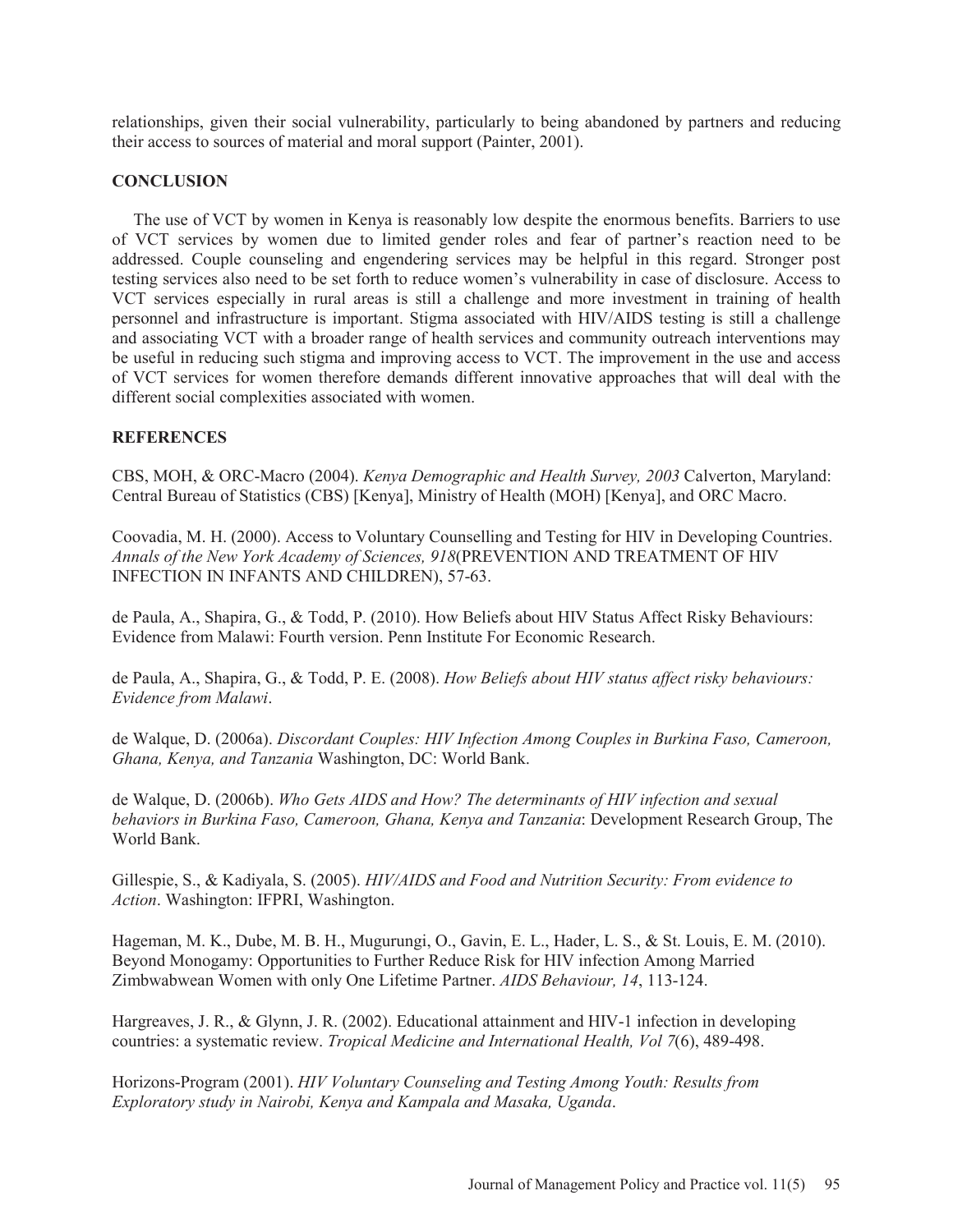relationships, given their social vulnerability, particularly to being abandoned by partners and reducing their access to sources of material and moral support (Painter, 2001).

### **CONCLUSION**

 The use of VCT by women in Kenya is reasonably low despite the enormous benefits. Barriers to use of VCT services by women due to limited gender roles and fear of partner's reaction need to be addressed. Couple counseling and engendering services may be helpful in this regard. Stronger post testing services also need to be set forth to reduce women's vulnerability in case of disclosure. Access to VCT services especially in rural areas is still a challenge and more investment in training of health personnel and infrastructure is important. Stigma associated with HIV/AIDS testing is still a challenge and associating VCT with a broader range of health services and community outreach interventions may be useful in reducing such stigma and improving access to VCT. The improvement in the use and access of VCT services for women therefore demands different innovative approaches that will deal with the different social complexities associated with women.

### **REFERENCES**

CBS, MOH, & ORC-Macro (2004). *Kenya Demographic and Health Survey, 2003* Calverton, Maryland: Central Bureau of Statistics (CBS) [Kenya], Ministry of Health (MOH) [Kenya], and ORC Macro.

Coovadia, M. H. (2000). Access to Voluntary Counselling and Testing for HIV in Developing Countries. *Annals of the New York Academy of Sciences, 918*(PREVENTION AND TREATMENT OF HIV INFECTION IN INFANTS AND CHILDREN), 57-63.

de Paula, A., Shapira, G., & Todd, P. (2010). How Beliefs about HIV Status Affect Risky Behaviours: Evidence from Malawi: Fourth version. Penn Institute For Economic Research.

de Paula, A., Shapira, G., & Todd, P. E. (2008). *How Beliefs about HIV status affect risky behaviours: Evidence from Malawi*.

de Walque, D. (2006a). *Discordant Couples: HIV Infection Among Couples in Burkina Faso, Cameroon, Ghana, Kenya, and Tanzania* Washington, DC: World Bank.

de Walque, D. (2006b). *Who Gets AIDS and How? The determinants of HIV infection and sexual behaviors in Burkina Faso, Cameroon, Ghana, Kenya and Tanzania*: Development Research Group, The World Bank.

Gillespie, S., & Kadiyala, S. (2005). *HIV/AIDS and Food and Nutrition Security: From evidence to Action*. Washington: IFPRI, Washington.

Hageman, M. K., Dube, M. B. H., Mugurungi, O., Gavin, E. L., Hader, L. S., & St. Louis, E. M. (2010). Beyond Monogamy: Opportunities to Further Reduce Risk for HIV infection Among Married Zimbwabwean Women with only One Lifetime Partner. *AIDS Behaviour, 14*, 113-124.

Hargreaves, J. R., & Glynn, J. R. (2002). Educational attainment and HIV-1 infection in developing countries: a systematic review. *Tropical Medicine and International Health, Vol 7*(6), 489-498.

Horizons-Program (2001). *HIV Voluntary Counseling and Testing Among Youth: Results from Exploratory study in Nairobi, Kenya and Kampala and Masaka, Uganda*.